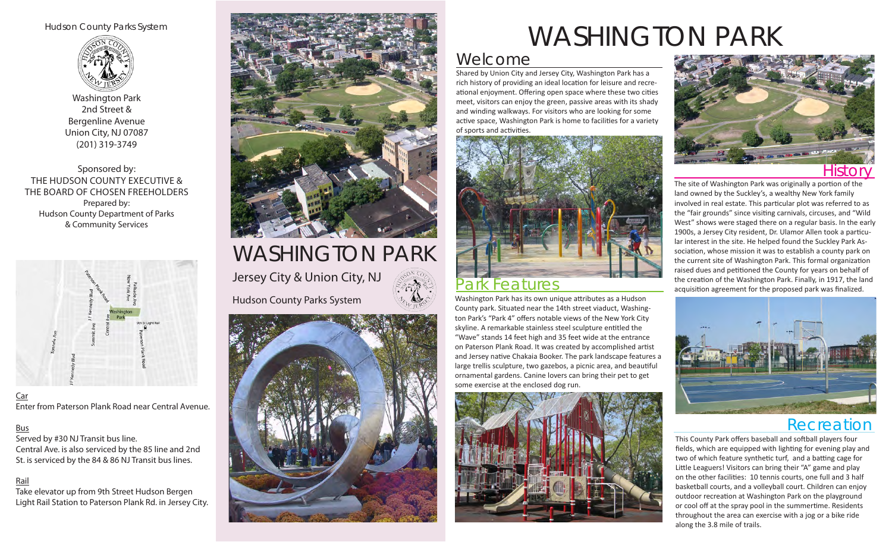### Hudson County Parks System



Washington Park 2nd Street & Bergenline Avenue Union City, NJ 07087 (201) 319-3749

Sponsored by: THE HUDSON COUNTY EXECUTIVE & THE BOARD OF CHOSEN FREEHOLDERS Prepared by: Hudson County Department of Parks & Community Services



Car Enter from Paterson Plank Road near Central Avenue.

### Bus

Served by #30 NJ Transit bus line. Central Ave. is also serviced by the 85 line and 2nd St. is serviced by the 84 & 86 NJ Transit bus lines.

### Rail

Take elevator up from 9th Street Hudson Bergen Light Rail Station to Paterson Plank Rd. in Jersey City.



## WASHINGTON PARK Jersey City & Union City, NJ Hudson County Parks System



# WASHINGTON PARK

## Welcome

Shared by Union City and Jersey City, Washington Park has a rich history of providing an ideal location for leisure and recreational enjoyment. Offering open space where these two cities meet, visitors can enjoy the green, passive areas with its shady and winding walkways. For visitors who are looking for some active space, Washington Park is home to facilities for a variety of sports and activities.



### Park Features

Washington Park has its own unique attributes as a Hudson County park. Situated near the 14th street viaduct, Washington Park's "Park 4" offers notable views of the New York City skyline. A remarkable stainless steel sculpture entitled the "Wave" stands 14 feet high and 35 feet wide at the entrance on Paterson Plank Road. It was created by accomplished artist and Jersey native Chakaia Booker. The park landscape features a large trellis sculpture, two gazebos, a picnic area, and beautiful ornamental gardens. Canine lovers can bring their pet to get some exercise at the enclosed dog run.





The site of Washington Park was originally a portion of the land owned by the Suckley's, a wealthy New York family involved in real estate. This particular plot was referred to as the "fair grounds" since visiting carnivals, circuses, and "Wild West" shows were staged there on a regular basis. In the early 1900s, a Jersey City resident, Dr. Ulamor Allen took a particular interest in the site. He helped found the Suckley Park Association, whose mission it was to establish a county park on the current site of Washington Park. This formal organization raised dues and petitioned the County for years on behalf of the creation of the Washington Park. Finally, in 1917, the land acquisition agreement for the proposed park was finalized.



## Recreation

This County Park offers baseball and softball players four fields, which are equipped with lighting for evening play and two of which feature synthetic turf, and a batting cage for Little Leaguers! Visitors can bring their "A" game and play on the other facilities: 10 tennis courts, one full and 3 half basketball courts, and a volleyball court. Children can enjoy outdoor recreation at Washington Park on the playground or cool off at the spray pool in the summertime. Residents throughout the area can exercise with a jog or a bike ride along the 3.8 mile of trails.